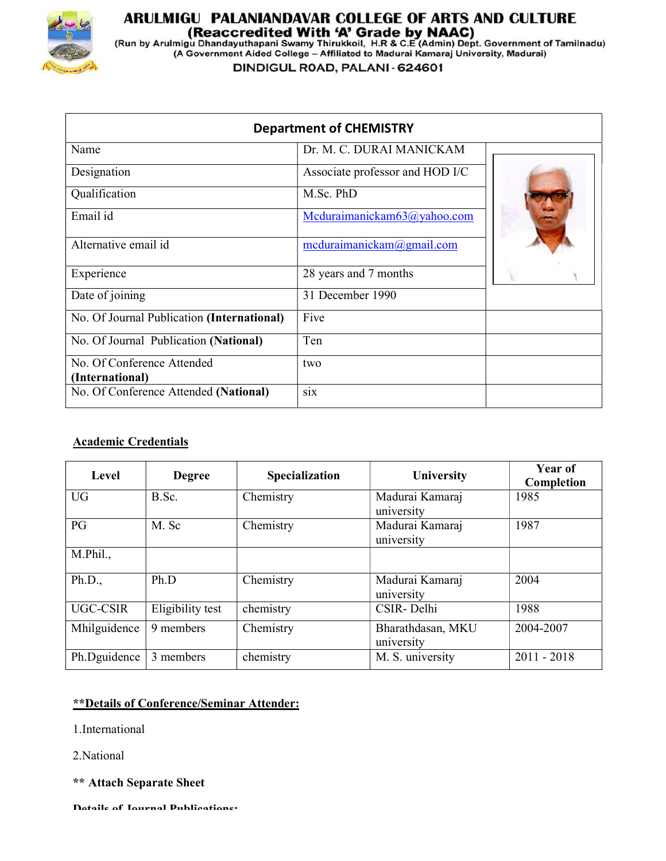

# **ARULMIGU PALANIANDAVAR COLLEGE OF ARTS AND CULTURE<br>(Reaccredited With 'A' Grade by NAAC)<br>(Run by Arulmigu Dhandayuthapani Swamy Thirukkoil, H.R & C.E (Admin) Dept. Government of Tamilnadu)<br>(A Government Aided College – Af**

DINDIGUL ROAD, PALANI - 624601

| <b>Department of CHEMISTRY</b>                |                                 |  |  |
|-----------------------------------------------|---------------------------------|--|--|
| Name                                          | Dr. M. C. DURAI MANICKAM        |  |  |
| Designation                                   | Associate professor and HOD I/C |  |  |
| Qualification                                 | M.Sc. PhD                       |  |  |
| Email id                                      | Mcduraimanickam63@yahoo.com     |  |  |
| Alternative email id                          | medianianickam@gmail.com        |  |  |
| Experience                                    | 28 years and 7 months           |  |  |
| Date of joining                               | 31 December 1990                |  |  |
| No. Of Journal Publication (International)    | Five                            |  |  |
| No. Of Journal Publication (National)         | Ten                             |  |  |
| No. Of Conference Attended<br>(International) | two                             |  |  |
| No. Of Conference Attended (National)         | six                             |  |  |

#### Academic Credentials

| Level        | <b>Degree</b>    | Specialization | <b>University</b>               | Year of<br>Completion |
|--------------|------------------|----------------|---------------------------------|-----------------------|
| <b>UG</b>    | B.Sc.            | Chemistry      | Madurai Kamaraj<br>university   | 1985                  |
| PG           | M. Sc            | Chemistry      | Madurai Kamaraj<br>university   | 1987                  |
| M.Phil.,     |                  |                |                                 |                       |
| Ph.D.,       | Ph.D             | Chemistry      | Madurai Kamaraj<br>university   | 2004                  |
| UGC-CSIR     | Eligibility test | chemistry      | CSIR-Delhi                      | 1988                  |
| Mhilguidence | 9 members        | Chemistry      | Bharathdasan, MKU<br>university | 2004-2007             |
| Ph.Dguidence | 3 members        | chemistry      | M. S. university                | $2011 - 2018$         |

## \*\*Details of Conference/Seminar Attender:

- 1.International
- 2.National
- \*\* Attach Separate Sheet

Details of Journal Publications: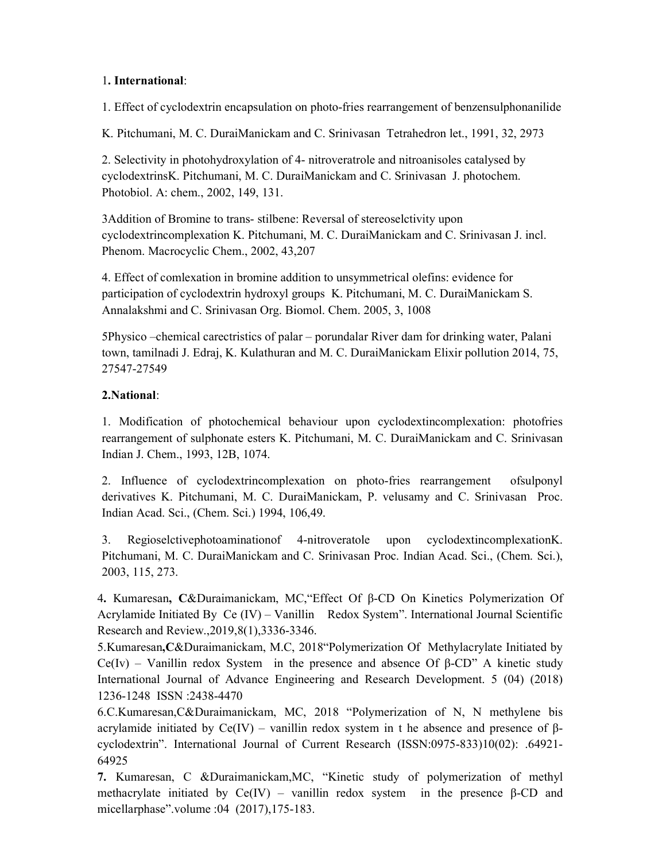#### 1. International:

1. Effect of cyclodextrin encapsulation on photo-fries rearrangement of benzensulphonanilide

K. Pitchumani, M. C. DuraiManickam and C. Srinivasan Tetrahedron let., 1991, 32, 2973

2. Selectivity in photohydroxylation of 4- nitroveratrole and nitroanisoles catalysed by cyclodextrinsK. Pitchumani, M. C. DuraiManickam and C. Srinivasan J. photochem. Photobiol. A: chem., 2002, 149, 131.

3Addition of Bromine to trans- stilbene: Reversal of stereoselctivity upon cyclodextrincomplexation K. Pitchumani, M. C. DuraiManickam and C. Srinivasan J. incl. Phenom. Macrocyclic Chem., 2002, 43,207

4. Effect of comlexation in bromine addition to unsymmetrical olefins: evidence for participation of cyclodextrin hydroxyl groups K. Pitchumani, M. C. DuraiManickam S. Annalakshmi and C. Srinivasan Org. Biomol. Chem. 2005, 3, 1008

5Physico –chemical carectristics of palar – porundalar River dam for drinking water, Palani town, tamilnadi J. Edraj, K. Kulathuran and M. C. DuraiManickam Elixir pollution 2014, 75, 27547-27549

### 2.National:

1. Modification of photochemical behaviour upon cyclodextincomplexation: photofries rearrangement of sulphonate esters K. Pitchumani, M. C. DuraiManickam and C. Srinivasan Indian J. Chem., 1993, 12B, 1074.

2. Influence of cyclodextrincomplexation on photo-fries rearrangement ofsulponyl derivatives K. Pitchumani, M. C. DuraiManickam, P. velusamy and C. Srinivasan Proc. Indian Acad. Sci., (Chem. Sci.) 1994, 106,49.

3. Regioselctivephotoaminationof 4-nitroveratole upon cyclodextincomplexationK. Pitchumani, M. C. DuraiManickam and C. Srinivasan Proc. Indian Acad. Sci., (Chem. Sci.), 2003, 115, 273.

4. Kumaresan, C&Duraimanickam, MC,"Effect Of β-CD On Kinetics Polymerization Of Acrylamide Initiated By Ce (IV) – Vanillin Redox System". International Journal Scientific Research and Review.,2019,8(1),3336-3346.

5.Kumaresan,C&Duraimanickam, M.C, 2018"Polymerization Of Methylacrylate Initiated by Ce(Iv) – Vanillin redox System in the presence and absence Of  $\beta$ -CD" A kinetic study International Journal of Advance Engineering and Research Development. 5 (04) (2018) 1236-1248 ISSN :2438-4470

6.C.Kumaresan,C&Duraimanickam, MC, 2018 "Polymerization of N, N methylene bis acrylamide initiated by Ce(IV) – vanillin redox system in t he absence and presence of βcyclodextrin". International Journal of Current Research (ISSN:0975-833)10(02): .64921- 64925

7. Kumaresan, C &Duraimanickam,MC, "Kinetic study of polymerization of methyl methacrylate initiated by  $Ce(IV)$  – vanillin redox system in the presence β-CD and micellarphase".volume :04 (2017),175-183.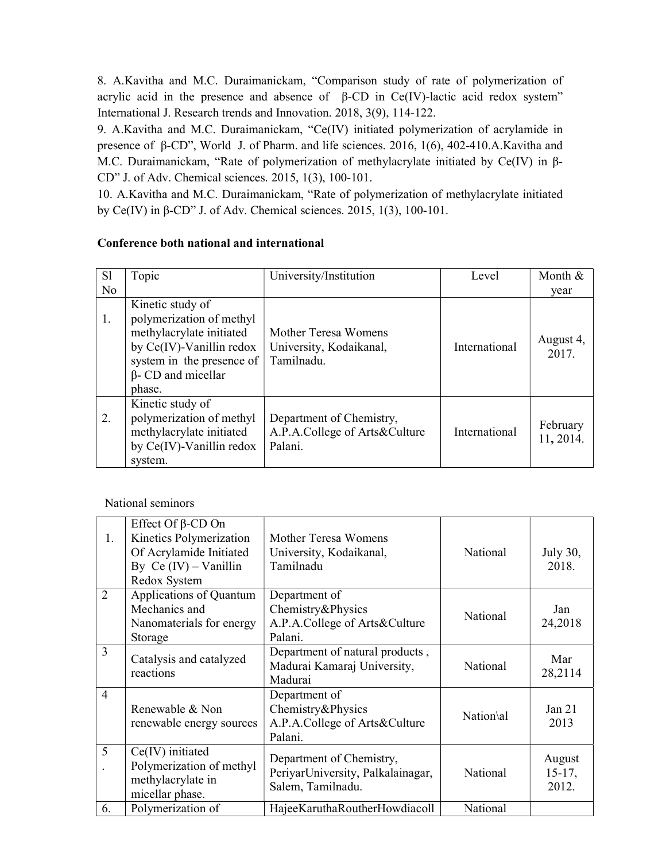8. A.Kavitha and M.C. Duraimanickam, "Comparison study of rate of polymerization of acrylic acid in the presence and absence of  $β$ -CD in Ce(IV)-lactic acid redox system" International J. Research trends and Innovation. 2018, 3(9), 114-122.

9. A.Kavitha and M.C. Duraimanickam, "Ce(IV) initiated polymerization of acrylamide in presence of β-CD", World J. of Pharm. and life sciences. 2016, 1(6), 402-410.A.Kavitha and M.C. Duraimanickam, "Rate of polymerization of methylacrylate initiated by Ce(IV) in β-CD" J. of Adv. Chemical sciences. 2015, 1(3), 100-101.

10. A.Kavitha and M.C. Duraimanickam, "Rate of polymerization of methylacrylate initiated by Ce(IV) in β-CD" J. of Adv. Chemical sciences. 2015, 1(3), 100-101.

#### Conference both national and international

| <sub>S1</sub>  | Topic                                                                                                                                                                    | University/Institution                                               | Level         | Month &               |
|----------------|--------------------------------------------------------------------------------------------------------------------------------------------------------------------------|----------------------------------------------------------------------|---------------|-----------------------|
| N <sub>o</sub> |                                                                                                                                                                          |                                                                      |               | year                  |
| 1.             | Kinetic study of<br>polymerization of methyl<br>methylacrylate initiated<br>by Ce(IV)-Vanillin redox<br>system in the presence of<br>$\beta$ - CD and micellar<br>phase. | Mother Teresa Womens<br>University, Kodaikanal,<br>Tamilnadu.        | International | August 4,<br>2017.    |
| 2.             | Kinetic study of<br>polymerization of methyl<br>methylacrylate initiated<br>by Ce(IV)-Vanillin redox<br>system.                                                          | Department of Chemistry,<br>A.P.A.College of Arts&Culture<br>Palani. | International | February<br>11, 2014. |

National seminors

| 1.             | Effect Of $\beta$ -CD On<br>Kinetics Polymerization<br>Of Acrylamide Initiated<br>By Ce $(IV)$ – Vanillin<br>Redox System | Mother Teresa Womens<br>University, Kodaikanal,<br>Tamilnadu                       | National  | July 30,<br>2018.           |
|----------------|---------------------------------------------------------------------------------------------------------------------------|------------------------------------------------------------------------------------|-----------|-----------------------------|
| $\overline{2}$ | Applications of Quantum<br>Mechanics and<br>Nanomaterials for energy<br>Storage                                           | Department of<br>Chemistry&Physics<br>A.P.A.College of Arts&Culture<br>Palani.     | National  | Jan<br>24,2018              |
| 3              | Catalysis and catalyzed<br>reactions                                                                                      | Department of natural products,<br>Madurai Kamaraj University,<br>Madurai          | National  | Mar<br>28,2114              |
| $\overline{4}$ | Renewable & Non<br>renewable energy sources                                                                               | Department of<br>Chemistry&Physics<br>A.P.A.College of Arts&Culture<br>Palani.     | Nation\al | Jan $21$<br>2013            |
| 5              | $Ce(IV)$ initiated<br>Polymerization of methyl<br>methylacrylate in<br>micellar phase.                                    | Department of Chemistry,<br>PeriyarUniversity, Palkalainagar,<br>Salem, Tamilnadu. | National  | August<br>$15-17,$<br>2012. |
| 6.             | Polymerization of                                                                                                         | HajeeKaruthaRoutherHowdiacoll                                                      | National  |                             |